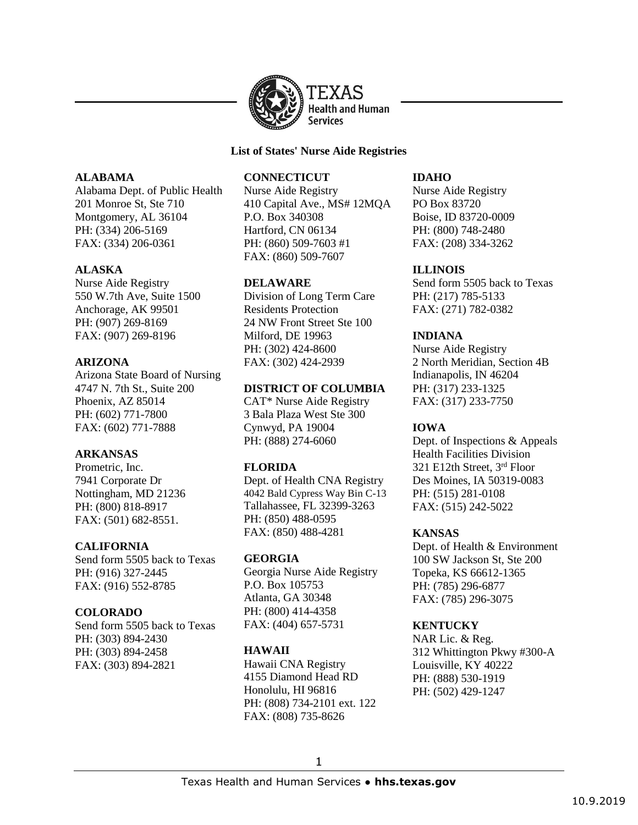

#### **List of States' Nurse Aide Registries**

### **ALABAMA**

Alabama Dept. of Public Health 201 Monroe St, Ste 710 Montgomery, AL 36104 PH: (334) 206-5169 FAX: (334) 206-0361

# **ALASKA**

Nurse Aide Registry 550 W.7th Ave, Suite 1500 Anchorage, AK 99501 PH: (907) 269-8169 FAX: (907) 269-8196

### **ARIZONA**

Arizona State Board of Nursing 4747 N. 7th St., Suite 200 Phoenix, AZ 85014 PH: (602) 771-7800 FAX: (602) 771-7888

# **ARKANSAS**

Prometric, Inc. 7941 Corporate Dr Nottingham, MD 21236 PH: (800) 818-8917 FAX: (501) 682-8551.

# **CALIFORNIA**

Send form 5505 back to Texas PH: (916) 327-2445 FAX: (916) 552-8785

# **COLORADO**

Send form 5505 back to Texas PH: (303) 894-2430 PH: (303) 894-2458 FAX: (303) 894-2821

# **CONNECTICUT**

Nurse Aide Registry 410 Capital Ave., MS# 12MQA P.O. Box 340308 Hartford, CN 06134 PH: (860) 509-7603 #1 FAX: (860) 509-7607

### **DELAWARE**

Division of Long Term Care Residents Protection 24 NW Front Street Ste 100 Milford, DE 19963 PH: (302) 424-8600 FAX: (302) 424-2939

### **DISTRICT OF COLUMBIA**

CAT\* Nurse Aide Registry 3 Bala Plaza West Ste 300 Cynwyd, PA 19004 PH: (888) 274-6060

# **FLORIDA**

Dept. of Health CNA Registry 4042 Bald Cypress Way Bin C-13 Tallahassee, FL 32399-3263 PH: (850) 488-0595 FAX: (850) 488-4281

# **GEORGIA**

Georgia Nurse Aide Registry P.O. Box 105753 Atlanta, GA 30348 PH: (800) 414-4358 FAX: (404) 657-5731

# **HAWAII**

Hawaii CNA Registry 4155 Diamond Head RD Honolulu, HI 96816 PH: (808) 734-2101 ext. 122 FAX: (808) 735-8626

### **IDAHO**

Nurse Aide Registry PO Box 83720 Boise, ID 83720-0009 PH: (800) 748-2480 FAX: (208) 334-3262

# **ILLINOIS**

Send form 5505 back to Texas PH: (217) 785-5133 FAX: (271) 782-0382

# **INDIANA**

Nurse Aide Registry 2 North Meridian, Section 4B Indianapolis, IN 46204 PH: (317) 233-1325 FAX: (317) 233-7750

# **IOWA**

Dept. of Inspections & Appeals Health Facilities Division 321 E12th Street, 3rd Floor Des Moines, IA 50319-0083 PH: (515) 281-0108 FAX: (515) 242-5022

# **KANSAS**

Dept. of Health & Environment 100 SW Jackson St, Ste 200 Topeka, KS 66612-1365 PH: (785) 296-6877 FAX: (785) 296-3075

# **KENTUCKY**

NAR Lic. & Reg. 312 Whittington Pkwy #300-A Louisville, KY 40222 PH: (888) 530-1919 PH: (502) 429-1247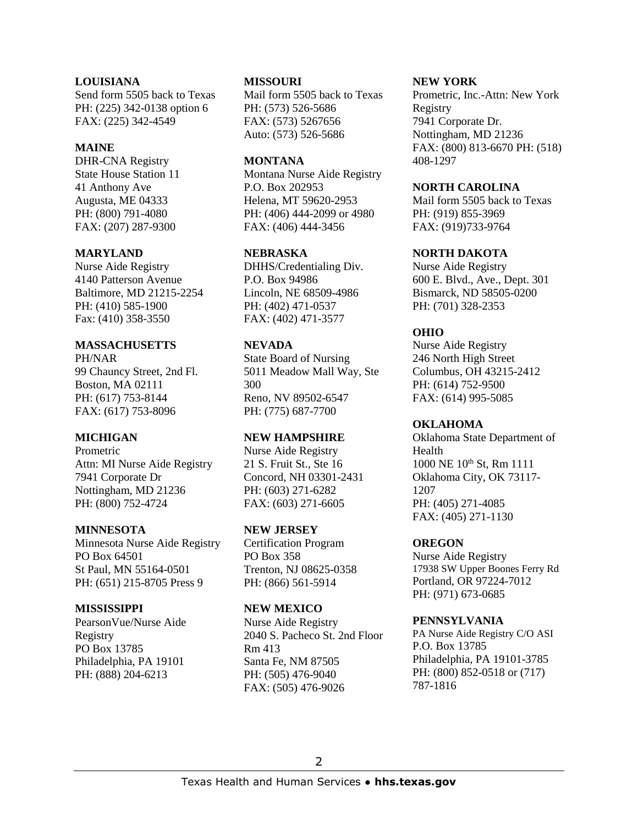#### **LOUISIANA**

Send form 5505 back to Texas PH: (225) 342-0138 option 6 FAX: (225) 342-4549

#### **MAINE**

DHR-CNA Registry State House Station 11 41 Anthony Ave Augusta, ME 04333 PH: (800) 791-4080 FAX: (207) 287-9300

### **MARYLAND**

Nurse Aide Registry 4140 Patterson Avenue Baltimore, MD 21215-2254 PH: (410) 585-1900 Fax: (410) 358-3550

### **MASSACHUSETTS**

PH/NAR 99 Chauncy Street, 2nd Fl. Boston, MA 02111 PH: (617) 753-8144 FAX: (617) 753-8096

# **MICHIGAN**

Prometric Attn: MI Nurse Aide Registry 7941 Corporate Dr Nottingham, MD 21236 PH: (800) 752-4724

### **MINNESOTA**

Minnesota Nurse Aide Registry PO Box 64501 St Paul, MN 55164-0501 PH: (651) 215-8705 Press 9

### **MISSISSIPPI**

PearsonVue/Nurse Aide Registry PO Box 13785 Philadelphia, PA 19101 PH: (888) 204-6213

#### **MISSOURI**

Mail form 5505 back to Texas PH: (573) 526-5686 FAX: (573) 5267656 Auto: (573) 526-5686

#### **MONTANA**

Montana Nurse Aide Registry P.O. Box 202953 Helena, MT 59620-2953 PH: (406) 444-2099 or 4980 FAX: (406) 444-3456

### **NEBRASKA**

DHHS/Credentialing Div. P.O. Box 94986 Lincoln, NE 68509-4986 PH: (402) 471-0537 FAX: (402) 471-3577

### **NEVADA**

State Board of Nursing 5011 Meadow Mall Way, Ste 300 Reno, NV 89502-6547 PH: (775) 687-7700

### **NEW HAMPSHIRE**

Nurse Aide Registry 21 S. Fruit St., Ste 16 Concord, NH 03301-2431 PH: (603) 271-6282 FAX: (603) 271-6605

### **NEW JERSEY**

Certification Program PO Box 358 Trenton, NJ 08625-0358 PH: (866) 561-5914

### **NEW MEXICO**

Nurse Aide Registry 2040 S. Pacheco St. 2nd Floor Rm 413 Santa Fe, NM 87505 PH: (505) 476-9040 FAX: (505) 476-9026

#### **NEW YORK**

Prometric, Inc.-Attn: New York Registry 7941 Corporate Dr. Nottingham, MD 21236 FAX: (800) 813-6670 PH: (518) 408-1297

#### **NORTH CAROLINA**

Mail form 5505 back to Texas PH: (919) 855-3969 FAX: (919)733-9764

### **NORTH DAKOTA**

Nurse Aide Registry 600 E. Blvd., Ave., Dept. 301 Bismarck, ND 58505-0200 PH: (701) 328-2353

# **OHIO**

Nurse Aide Registry 246 North High Street Columbus, OH 43215-2412 PH: (614) 752-9500 FAX: (614) 995-5085

# **OKLAHOMA**

Oklahoma State Department of Health 1000 NE 10th St, Rm 1111 Oklahoma City, OK 73117- 1207 PH: (405) 271-4085 FAX: (405) 271-1130

### **OREGON**

Nurse Aide Registry 17938 SW Upper Boones Ferry Rd Portland, OR 97224-7012 PH: (971) 673-0685

### **PENNSYLVANIA**

PA Nurse Aide Registry C/O ASI P.O. Box 13785 Philadelphia, PA 19101-3785 PH: (800) 852-0518 or (717) 787-1816